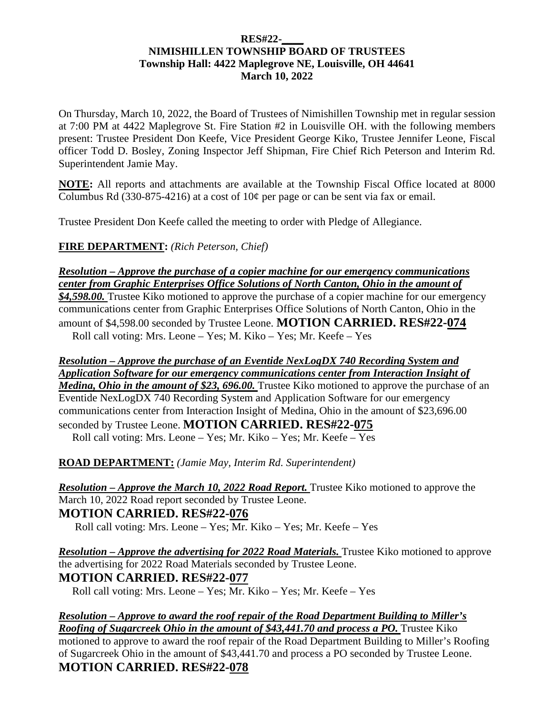## **RES#22-\_\_\_\_ NIMISHILLEN TOWNSHIP BOARD OF TRUSTEES Township Hall: 4422 Maplegrove NE, Louisville, OH 44641 March 10, 2022**

On Thursday, March 10, 2022, the Board of Trustees of Nimishillen Township met in regular session at 7:00 PM at 4422 Maplegrove St. Fire Station #2 in Louisville OH. with the following members present: Trustee President Don Keefe, Vice President George Kiko, Trustee Jennifer Leone, Fiscal officer Todd D. Bosley, Zoning Inspector Jeff Shipman, Fire Chief Rich Peterson and Interim Rd. Superintendent Jamie May.

**NOTE:** All reports and attachments are available at the Township Fiscal Office located at 8000 Columbus Rd (330-875-4216) at a cost of  $10¢$  per page or can be sent via fax or email.

Trustee President Don Keefe called the meeting to order with Pledge of Allegiance.

**FIRE DEPARTMENT:** *(Rich Peterson, Chief)* 

#### *Resolution – Approve the purchase of a copier machine for our emergency communications center from Graphic Enterprises Office Solutions of North Canton, Ohio in the amount of*

\$4,598.00. Trustee Kiko motioned to approve the purchase of a copier machine for our emergency communications center from Graphic Enterprises Office Solutions of North Canton, Ohio in the amount of \$4,598.00 seconded by Trustee Leone. **MOTION CARRIED. RES#22-074** 

Roll call voting: Mrs. Leone – Yes; M. Kiko – Yes; Mr. Keefe – Yes

## *Resolution – Approve the purchase of an Eventide NexLogDX 740 Recording System and Application Software for our emergency communications center from Interaction Insight of*

*Medina, Ohio in the amount of \$23, 696.00.* Trustee Kiko motioned to approve the purchase of an Eventide NexLogDX 740 Recording System and Application Software for our emergency communications center from Interaction Insight of Medina, Ohio in the amount of \$23,696.00 seconded by Trustee Leone. **MOTION CARRIED. RES#22-075** 

Roll call voting: Mrs. Leone – Yes; Mr. Kiko – Yes; Mr. Keefe – Yes

## **ROAD DEPARTMENT:** *(Jamie May, Interim Rd. Superintendent)*

*Resolution – Approve the March 10, 2022 Road Report.* Trustee Kiko motioned to approve the March 10, 2022 Road report seconded by Trustee Leone. **MOTION CARRIED. RES#22-076**

Roll call voting: Mrs. Leone – Yes; Mr. Kiko – Yes; Mr. Keefe – Yes

*Resolution – Approve the advertising for 2022 Road Materials.* **Trustee Kiko motioned to approve** the advertising for 2022 Road Materials seconded by Trustee Leone. **MOTION CARRIED. RES#22-077**

Roll call voting: Mrs. Leone – Yes; Mr. Kiko – Yes; Mr. Keefe – Yes

## *Resolution – Approve to award the roof repair of the Road Department Building to Miller's Roofing of Sugarcreek Ohio in the amount of \$43,441.70 and process a PO.* **Trustee Kiko**

motioned to approve to award the roof repair of the Road Department Building to Miller's Roofing of Sugarcreek Ohio in the amount of \$43,441.70 and process a PO seconded by Trustee Leone. **MOTION CARRIED. RES#22-078**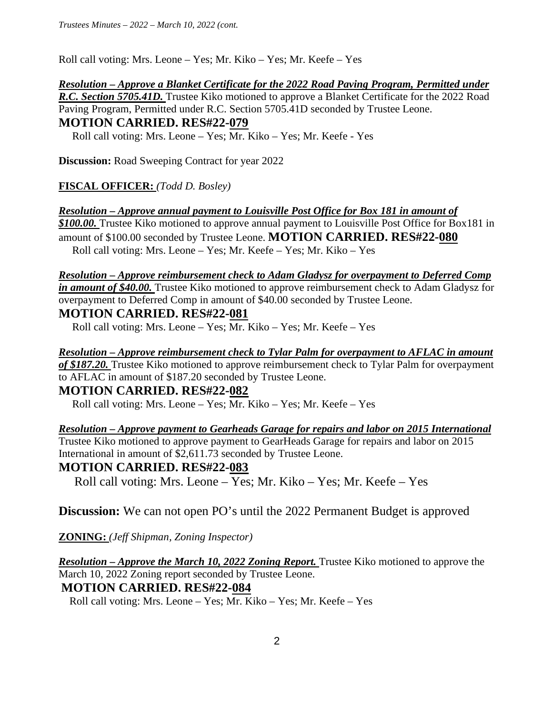Roll call voting: Mrs. Leone – Yes; Mr. Kiko – Yes; Mr. Keefe – Yes

*Resolution – Approve a Blanket Certificate for the 2022 Road Paving Program, Permitted under*  **R.C. Section 5705.41D.** Trustee Kiko motioned to approve a Blanket Certificate for the 2022 Road Paving Program, Permitted under R.C. Section 5705.41D seconded by Trustee Leone. **MOTION CARRIED. RES#22-079** 

Roll call voting: Mrs. Leone – Yes; Mr. Kiko – Yes; Mr. Keefe - Yes

**Discussion:** Road Sweeping Contract for year 2022

## **FISCAL OFFICER:** *(Todd D. Bosley)*

*Resolution – Approve annual payment to Louisville Post Office for Box 181 in amount of \$100.00.* Trustee Kiko motioned to approve annual payment to Louisville Post Office for Box181 in amount of \$100.00 seconded by Trustee Leone. **MOTION CARRIED. RES#22-080** Roll call voting: Mrs. Leone – Yes; Mr. Keefe – Yes; Mr. Kiko – Yes

*Resolution – Approve reimbursement check to Adam Gladysz for overpayment to Deferred Comp in amount of \$40.00.* Trustee Kiko motioned to approve reimbursement check to Adam Gladysz for overpayment to Deferred Comp in amount of \$40.00 seconded by Trustee Leone.

## **MOTION CARRIED. RES#22-081**

Roll call voting: Mrs. Leone – Yes; Mr. Kiko – Yes; Mr. Keefe – Yes

*Resolution – Approve reimbursement check to Tylar Palm for overpayment to AFLAC in amount of \$187.20.* Trustee Kiko motioned to approve reimbursement check to Tylar Palm for overpayment

# to AFLAC in amount of \$187.20 seconded by Trustee Leone.

## **MOTION CARRIED. RES#22-082**

Roll call voting: Mrs. Leone – Yes; Mr. Kiko – Yes; Mr. Keefe – Yes

## *Resolution – Approve payment to Gearheads Garage for repairs and labor on 2015 International*

Trustee Kiko motioned to approve payment to GearHeads Garage for repairs and labor on 2015 International in amount of \$2,611.73 seconded by Trustee Leone.

## **MOTION CARRIED. RES#22-083**

Roll call voting: Mrs. Leone – Yes; Mr. Kiko – Yes; Mr. Keefe – Yes

## **Discussion:** We can not open PO's until the 2022 Permanent Budget is approved

**ZONING:** *(Jeff Shipman, Zoning Inspector)* 

*Resolution – Approve the March 10, 2022 Zoning Report.* Trustee Kiko motioned to approve the March 10, 2022 Zoning report seconded by Trustee Leone.

## **MOTION CARRIED. RES#22-084**

Roll call voting: Mrs. Leone – Yes; Mr. Kiko – Yes; Mr. Keefe – Yes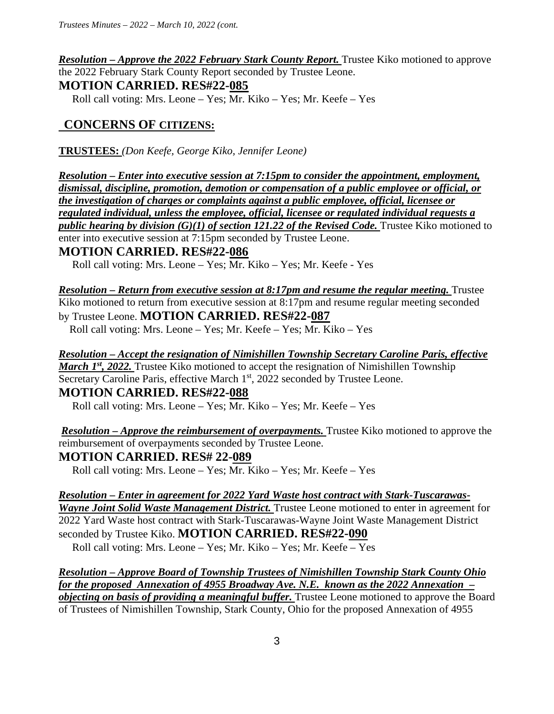*Resolution – Approve the 2022 February Stark County Report.* Trustee Kiko motioned to approve the 2022 February Stark County Report seconded by Trustee Leone. **MOTION CARRIED. RES#22-085** 

Roll call voting: Mrs. Leone – Yes; Mr. Kiko – Yes; Mr. Keefe – Yes

## **CONCERNS OF CITIZENS:**

**TRUSTEES:** *(Don Keefe, George Kiko, Jennifer Leone)* 

*Resolution – Enter into executive session at 7:15pm to consider the appointment, employment, dismissal, discipline, promotion, demotion or compensation of a public employee or official, or the investigation of charges or complaints against a public employee, official, licensee or regulated individual, unless the employee, official, licensee or regulated individual requests a public hearing by division (G)(1) of section 121.22 of the Revised Code.* Trustee Kiko motioned to enter into executive session at 7:15pm seconded by Trustee Leone.

## **MOTION CARRIED. RES#22-086**

Roll call voting: Mrs. Leone – Yes; Mr. Kiko – Yes; Mr. Keefe - Yes

*Resolution – Return from executive session at 8:17pm and resume the regular meeting. Trustee* Kiko motioned to return from executive session at 8:17pm and resume regular meeting seconded by Trustee Leone. **MOTION CARRIED. RES#22-087** 

Roll call voting: Mrs. Leone – Yes; Mr. Keefe – Yes; Mr. Kiko – Yes

*Resolution – Accept the resignation of Nimishillen Township Secretary Caroline Paris, effective March 1<sup>st</sup>*, 2022. Trustee Kiko motioned to accept the resignation of Nimishillen Township Secretary Caroline Paris, effective March 1<sup>st</sup>, 2022 seconded by Trustee Leone. **MOTION CARRIED. RES#22-088** 

Roll call voting: Mrs. Leone – Yes; Mr. Kiko – Yes; Mr. Keefe – Yes

*Resolution – Approve the reimbursement of overpayments.* Trustee Kiko motioned to approve the reimbursement of overpayments seconded by Trustee Leone. **MOTION CARRIED. RES# 22-089** 

Roll call voting: Mrs. Leone – Yes; Mr. Kiko – Yes; Mr. Keefe – Yes

## *Resolution – Enter in agreement for 2022 Yard Waste host contract with Stark-Tuscarawas-*

*Wayne Joint Solid Waste Management District.* Trustee Leone motioned to enter in agreement for 2022 Yard Waste host contract with Stark-Tuscarawas-Wayne Joint Waste Management District seconded by Trustee Kiko. **MOTION CARRIED. RES#22-090**  Roll call voting: Mrs. Leone – Yes; Mr. Kiko – Yes; Mr. Keefe – Yes

*Resolution – Approve Board of Township Trustees of Nimishillen Township Stark County Ohio for the proposed Annexation of 4955 Broadway Ave. N.E. known as the 2022 Annexation – objecting on basis of providing a meaningful buffer.* Trustee Leone motioned to approve the Board of Trustees of Nimishillen Township, Stark County, Ohio for the proposed Annexation of 4955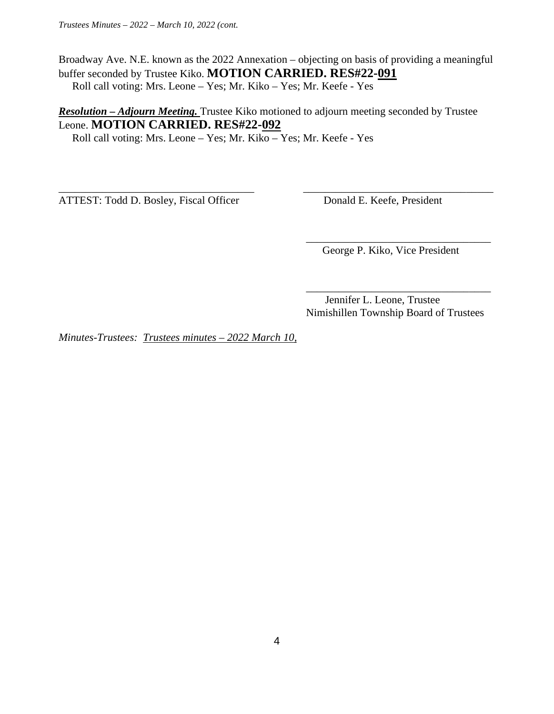Broadway Ave. N.E. known as the 2022 Annexation – objecting on basis of providing a meaningful buffer seconded by Trustee Kiko. **MOTION CARRIED. RES#22-091**  Roll call voting: Mrs. Leone – Yes; Mr. Kiko – Yes; Mr. Keefe - Yes

*Resolution – Adjourn Meeting.* Trustee Kiko motioned to adjourn meeting seconded by Trustee Leone. **MOTION CARRIED. RES#22-092** 

\_\_\_\_\_\_\_\_\_\_\_\_\_\_\_\_\_\_\_\_\_\_\_\_\_\_\_\_\_\_\_\_\_\_\_\_ \_\_\_\_\_\_\_\_\_\_\_\_\_\_\_\_\_\_\_\_\_\_\_\_\_\_\_\_\_\_\_\_\_\_\_

 $\overline{\phantom{a}}$  , and the contract of the contract of the contract of the contract of the contract of the contract of the contract of the contract of the contract of the contract of the contract of the contract of the contrac

 $\overline{\phantom{a}}$  , and the contract of the contract of the contract of the contract of the contract of the contract of the contract of the contract of the contract of the contract of the contract of the contract of the contrac

Roll call voting: Mrs. Leone – Yes; Mr. Kiko – Yes; Mr. Keefe - Yes

ATTEST: Todd D. Bosley, Fiscal Officer Donald E. Keefe, President

George P. Kiko, Vice President

 Jennifer L. Leone, Trustee Nimishillen Township Board of Trustees

*Minutes-Trustees: Trustees minutes – 2022 March 10,*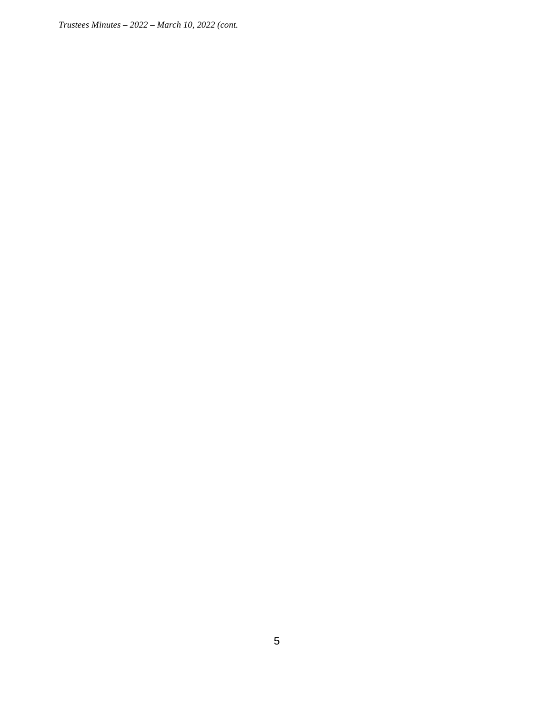*Trustees Minutes – 2022 – March 10, 2022 (cont.*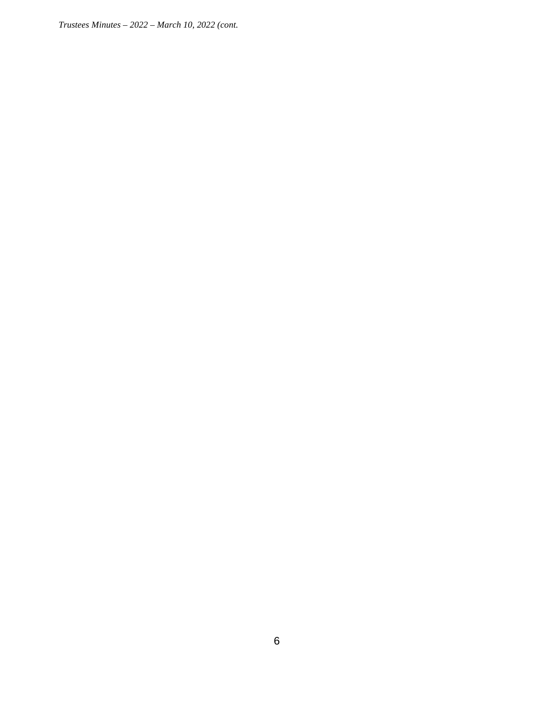*Trustees Minutes – 2022 – March 10, 2022 (cont.*